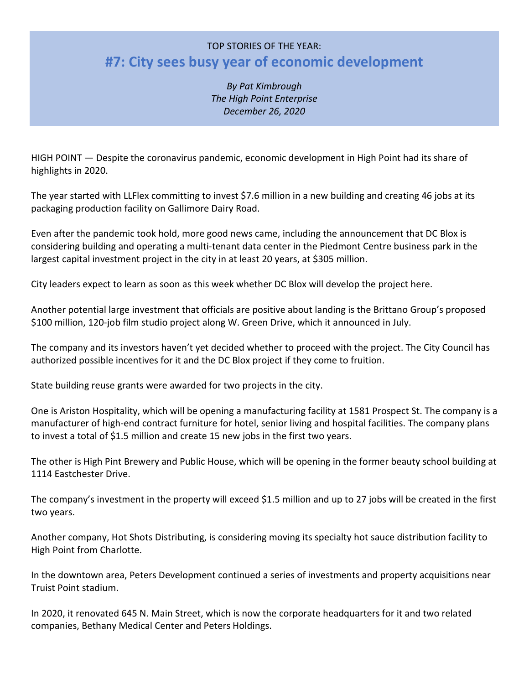## TOP STORIES OF THE YEAR: **#7: City sees busy year of economic development**

*By Pat Kimbrough The High Point Enterprise December 26, 2020*

HIGH POINT — Despite the coronavirus pandemic, economic development in High Point had its share of highlights in 2020.

The year started with LLFlex committing to invest \$7.6 million in a new building and creating 46 jobs at its packaging production facility on Gallimore Dairy Road.

Even after the pandemic took hold, more good news came, including the announcement that DC Blox is considering building and operating a multi-tenant data center in the Piedmont Centre business park in the largest capital investment project in the city in at least 20 years, at \$305 million.

City leaders expect to learn as soon as this week whether DC Blox will develop the project here.

Another potential large investment that officials are positive about landing is the Brittano Group's proposed \$100 million, 120-job film studio project along W. Green Drive, which it announced in July.

The company and its investors haven't yet decided whether to proceed with the project. The City Council has authorized possible incentives for it and the DC Blox project if they come to fruition.

State building reuse grants were awarded for two projects in the city.

One is Ariston Hospitality, which will be opening a manufacturing facility at 1581 Prospect St. The company is a manufacturer of high-end contract furniture for hotel, senior living and hospital facilities. The company plans to invest a total of \$1.5 million and create 15 new jobs in the first two years.

The other is High Pint Brewery and Public House, which will be opening in the former beauty school building at 1114 Eastchester Drive.

The company's investment in the property will exceed \$1.5 million and up to 27 jobs will be created in the first two years.

Another company, Hot Shots Distributing, is considering moving its specialty hot sauce distribution facility to High Point from Charlotte.

In the downtown area, Peters Development continued a series of investments and property acquisitions near Truist Point stadium.

In 2020, it renovated 645 N. Main Street, which is now the corporate headquarters for it and two related companies, Bethany Medical Center and Peters Holdings.